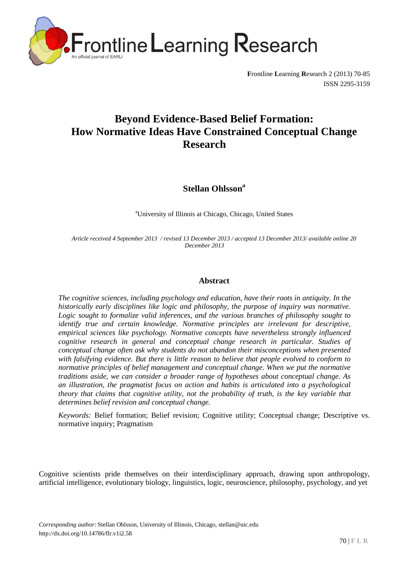

**F**rontline **L**earning **R**esearch 2 (2013) 70-85 ISSN 2295-3159

# **Beyond Evidence-Based Belief Formation: How Normative Ideas Have Constrained Conceptual Change Research**

**Stellan Ohlsson<sup>a</sup>**

<sup>a</sup>University of Illinois at Chicago, Chicago, United States

*Article received 4 September 2013 / revised 13 December 2013 / accepted 13 December 2013/ available online 20 December 2013*

## **Abstract**

*The cognitive sciences, including psychology and education, have their roots in antiquity. In the historically early disciplines like logic and philosophy, the purpose of inquiry was normative.*  Logic sought to formalize valid inferences, and the various branches of philosophy sought to *identify true and certain knowledge. Normative principles are irrelevant for descriptive, empirical sciences like psychology. Normative concepts have nevertheless strongly influenced cognitive research in general and conceptual change research in particular. Studies of conceptual change often ask why students do not abandon their misconceptions when presented with falsifying evidence. But there is little reason to believe that people evolved to conform to normative principles of belief management and conceptual change. When we put the normative traditions aside, we can consider a broader range of hypotheses about conceptual change. As an illustration, the pragmatist focus on action and habits is articulated into a psychological theory that claims that cognitive utility, not the probability of truth, is the key variable that determines belief revision and conceptual change.*

*Keywords:* Belief formation; Belief revision; Cognitive utility; Conceptual change; Descriptive vs. normative inquiry; Pragmatism

Cognitive scientists pride themselves on their interdisciplinary approach, drawing upon anthropology, artificial intelligence, evolutionary biology, linguistics, logic, neuroscience, philosophy, psychology, and yet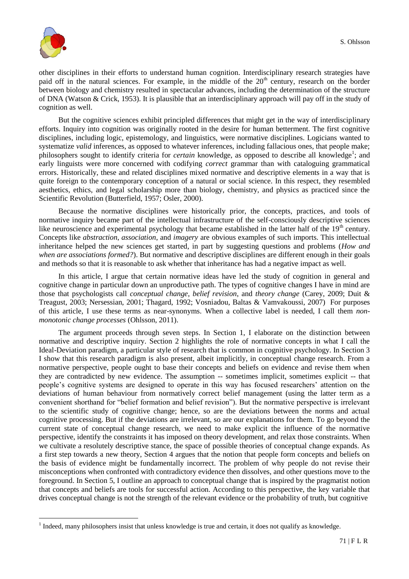

 $\overline{a}$ 

other disciplines in their efforts to understand human cognition. Interdisciplinary research strategies have paid off in the natural sciences. For example, in the middle of the  $20<sup>th</sup>$  century, research on the border between biology and chemistry resulted in spectacular advances, including the determination of the structure of DNA (Watson & Crick, 1953). It is plausible that an interdisciplinary approach will pay off in the study of cognition as well.

But the cognitive sciences exhibit principled differences that might get in the way of interdisciplinary efforts. Inquiry into cognition was originally rooted in the desire for human betterment. The first cognitive disciplines, including logic, epistemology, and linguistics, were normative disciplines. Logicians wanted to systematize *valid* inferences, as opposed to whatever inferences, including fallacious ones, that people make; philosophers sought to identify criteria for *certain* knowledge, as opposed to describe all knowledge<sup>1</sup>; and early linguists were more concerned with codifying *correct* grammar than with cataloguing grammatical errors. Historically, these and related disciplines mixed normative and descriptive elements in a way that is quite foreign to the contemporary conception of a natural or social science. In this respect, they resembled aesthetics, ethics, and legal scholarship more than biology, chemistry, and physics as practiced since the Scientific Revolution (Butterfield, 1957; Osler, 2000).

Because the normative disciplines were historically prior, the concepts, practices, and tools of normative inquiry became part of the intellectual infrastructure of the self-consciously descriptive sciences like neuroscience and experimental psychology that became established in the latter half of the 19<sup>th</sup> century. Concepts like *abstraction*, *association*, and *imagery* are obvious examples of such imports. This intellectual inheritance helped the new sciences get started, in part by suggesting questions and problems (*How and when are associations formed?*). But normative and descriptive disciplines are different enough in their goals and methods so that it is reasonable to ask whether that inheritance has had a negative impact as well.

In this article, I argue that certain normative ideas have led the study of cognition in general and cognitive change in particular down an unproductive path. The types of cognitive changes I have in mind are those that psychologists call *conceptual change*, *belief revision*, and *theory change* (Carey, 2009; Duit & Treagust, 2003; Nersessian, 2001; Thagard, 1992; Vosniadou, Baltas & Vamvakoussi, 2007) For purposes of this article, I use these terms as near-synonyms. When a collective label is needed, I call them *nonmonotonic change processes* (Ohlsson, 2011).

The argument proceeds through seven steps. In Section 1, I elaborate on the distinction between normative and descriptive inquiry. Section 2 highlights the role of normative concepts in what I call the Ideal-Deviation paradigm, a particular style of research that is common in cognitive psychology. In Section 3 I show that this research paradigm is also present, albeit implicitly, in conceptual change research. From a normative perspective, people ought to base their concepts and beliefs on evidence and revise them when they are contradicted by new evidence. The assumption -- sometimes implicit, sometimes explicit -- that people"s cognitive systems are designed to operate in this way has focused researchers" attention on the deviations of human behaviour from normatively correct belief management (using the latter term as a convenient shorthand for "belief formation and belief revision"). But the normative perspective is irrelevant to the scientific study of cognitive change; hence, so are the deviations between the norms and actual cognitive processing. But if the deviations are irrelevant, so are our explanations for them. To go beyond the current state of conceptual change research, we need to make explicit the influence of the normative perspective, identify the constraints it has imposed on theory development, and relax those constraints. When we cultivate a resolutely descriptive stance, the space of possible theories of conceptual change expands. As a first step towards a new theory, Section 4 argues that the notion that people form concepts and beliefs on the basis of evidence might be fundamentally incorrect. The problem of why people do not revise their misconceptions when confronted with contradictory evidence then dissolves, and other questions move to the foreground. In Section 5, I outline an approach to conceptual change that is inspired by the pragmatist notion that concepts and beliefs are tools for successful action. According to this perspective, the key variable that drives conceptual change is not the strength of the relevant evidence or the probability of truth, but cognitive

 $<sup>1</sup>$  Indeed, many philosophers insist that unless knowledge is true and certain, it does not qualify as knowledge.</sup>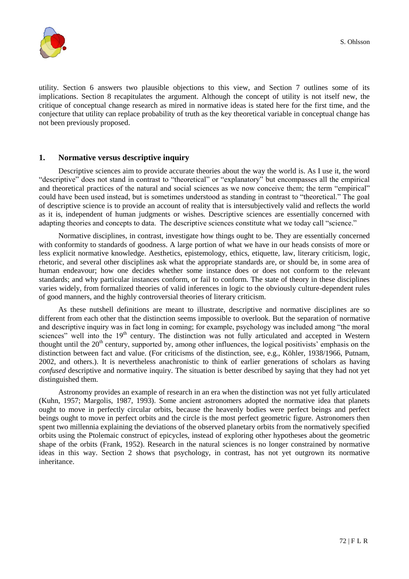

utility. Section 6 answers two plausible objections to this view, and Section 7 outlines some of its implications. Section 8 recapitulates the argument. Although the concept of utility is not itself new, the critique of conceptual change research as mired in normative ideas is stated here for the first time, and the conjecture that utility can replace probability of truth as the key theoretical variable in conceptual change has not been previously proposed.

## **1. Normative versus descriptive inquiry**

Descriptive sciences aim to provide accurate theories about the way the world is. As I use it, the word "descriptive" does not stand in contrast to "theoretical" or "explanatory" but encompasses all the empirical and theoretical practices of the natural and social sciences as we now conceive them; the term "empirical" could have been used instead, but is sometimes understood as standing in contrast to "theoretical." The goal of descriptive science is to provide an account of reality that is intersubjectively valid and reflects the world as it is, independent of human judgments or wishes. Descriptive sciences are essentially concerned with adapting theories and concepts to data. The descriptive sciences constitute what we today call "science."

Normative disciplines, in contrast, investigate how things ought to be. They are essentially concerned with conformity to standards of goodness. A large portion of what we have in our heads consists of more or less explicit normative knowledge. Aesthetics, epistemology, ethics, etiquette, law, literary criticism, logic, rhetoric, and several other disciplines ask what the appropriate standards are, or should be, in some area of human endeavour; how one decides whether some instance does or does not conform to the relevant standards; and why particular instances conform, or fail to conform. The state of theory in these disciplines varies widely, from formalized theories of valid inferences in logic to the obviously culture-dependent rules of good manners, and the highly controversial theories of literary criticism.

As these nutshell definitions are meant to illustrate, descriptive and normative disciplines are so different from each other that the distinction seems impossible to overlook. But the separation of normative and descriptive inquiry was in fact long in coming; for example, psychology was included among "the moral sciences" well into the 19<sup>th</sup> century. The distinction was not fully articulated and accepted in Western thought until the  $20<sup>th</sup>$  century, supported by, among other influences, the logical positivists' emphasis on the distinction between fact and value. (For criticisms of the distinction, see, e.g., Köhler, 1938/1966, Putnam, 2002, and others.). It is nevertheless anachronistic to think of earlier generations of scholars as having *confused* descriptive and normative inquiry. The situation is better described by saying that they had not yet distinguished them.

Astronomy provides an example of research in an era when the distinction was not yet fully articulated (Kuhn, 1957; Margolis, 1987, 1993). Some ancient astronomers adopted the normative idea that planets ought to move in perfectly circular orbits, because the heavenly bodies were perfect beings and perfect beings ought to move in perfect orbits and the circle is the most perfect geometric figure. Astronomers then spent two millennia explaining the deviations of the observed planetary orbits from the normatively specified orbits using the Ptolemaic construct of epicycles, instead of exploring other hypotheses about the geometric shape of the orbits (Frank, 1952). Research in the natural sciences is no longer constrained by normative ideas in this way. Section 2 shows that psychology, in contrast, has not yet outgrown its normative inheritance.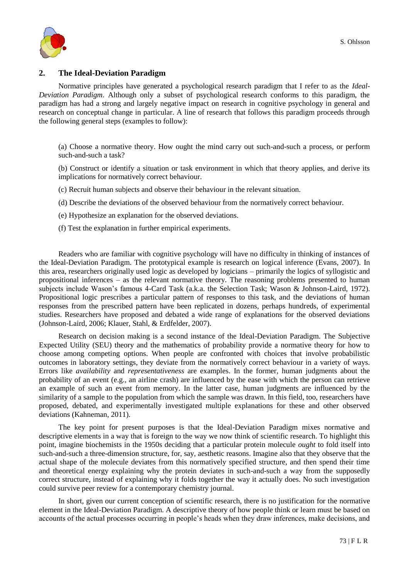

## **2. The Ideal-Deviation Paradigm**

Normative principles have generated a psychological research paradigm that I refer to as the *Ideal-Deviation Paradigm*. Although only a subset of psychological research conforms to this paradigm, the paradigm has had a strong and largely negative impact on research in cognitive psychology in general and research on conceptual change in particular. A line of research that follows this paradigm proceeds through the following general steps (examples to follow):

(a) Choose a normative theory. How ought the mind carry out such-and-such a process, or perform such-and-such a task?

(b) Construct or identify a situation or task environment in which that theory applies, and derive its implications for normatively correct behaviour.

(c) Recruit human subjects and observe their behaviour in the relevant situation.

(d) Describe the deviations of the observed behaviour from the normatively correct behaviour.

(e) Hypothesize an explanation for the observed deviations.

(f) Test the explanation in further empirical experiments.

Readers who are familiar with cognitive psychology will have no difficulty in thinking of instances of the Ideal-Deviation Paradigm. The prototypical example is research on logical inference (Evans, 2007). In this area, researchers originally used logic as developed by logicians – primarily the logics of syllogistic and propositional inferences – as the relevant normative theory. The reasoning problems presented to human subjects include Wason"s famous 4-Card Task (a.k.a. the Selection Task; Wason & Johnson-Laird, 1972). Propositional logic prescribes a particular pattern of responses to this task, and the deviations of human responses from the prescribed pattern have been replicated in dozens, perhaps hundreds, of experimental studies. Researchers have proposed and debated a wide range of explanations for the observed deviations (Johnson-Laird, 2006; Klauer, Stahl, & Erdfelder, 2007).

Research on decision making is a second instance of the Ideal-Deviation Paradigm. The Subjective Expected Utility (SEU) theory and the mathematics of probability provide a normative theory for how to choose among competing options. When people are confronted with choices that involve probabilistic outcomes in laboratory settings, they deviate from the normatively correct behaviour in a variety of ways. Errors like *availability* and *representativeness* are examples. In the former, human judgments about the probability of an event (e.g., an airline crash) are influenced by the ease with which the person can retrieve an example of such an event from memory. In the latter case, human judgments are influenced by the similarity of a sample to the population from which the sample was drawn. In this field, too, researchers have proposed, debated, and experimentally investigated multiple explanations for these and other observed deviations (Kahneman, 2011).

The key point for present purposes is that the Ideal-Deviation Paradigm mixes normative and descriptive elements in a way that is foreign to the way we now think of scientific research. To highlight this point, imagine biochemists in the 1950s deciding that a particular protein molecule *ought* to fold itself into such-and-such a three-dimension structure, for, say, aesthetic reasons. Imagine also that they observe that the actual shape of the molecule deviates from this normatively specified structure, and then spend their time and theoretical energy explaining why the protein deviates in such-and-such a way from the supposedly correct structure, instead of explaining why it folds together the way it actually does. No such investigation could survive peer review for a contemporary chemistry journal.

In short, given our current conception of scientific research, there is no justification for the normative element in the Ideal-Deviation Paradigm. A descriptive theory of how people think or learn must be based on accounts of the actual processes occurring in people's heads when they draw inferences, make decisions, and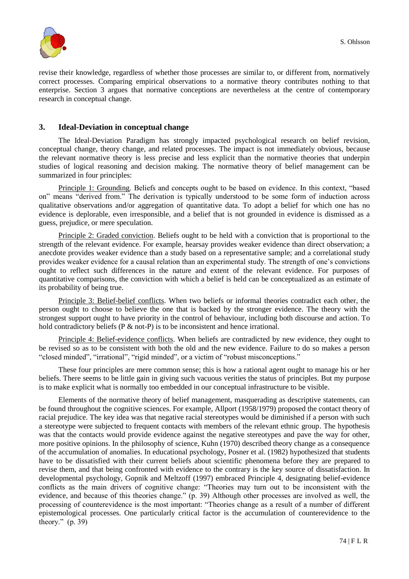

revise their knowledge, regardless of whether those processes are similar to, or different from, normatively correct processes. Comparing empirical observations to a normative theory contributes nothing to that enterprise. Section 3 argues that normative conceptions are nevertheless at the centre of contemporary research in conceptual change.

## **3. Ideal-Deviation in conceptual change**

The Ideal-Deviation Paradigm has strongly impacted psychological research on belief revision, conceptual change, theory change, and related processes. The impact is not immediately obvious, because the relevant normative theory is less precise and less explicit than the normative theories that underpin studies of logical reasoning and decision making. The normative theory of belief management can be summarized in four principles:

Principle 1: Grounding. Beliefs and concepts ought to be based on evidence. In this context, "based on" means "derived from." The derivation is typically understood to be some form of induction across qualitative observations and/or aggregation of quantitative data. To adopt a belief for which one has no evidence is deplorable, even irresponsible, and a belief that is not grounded in evidence is dismissed as a guess, prejudice, or mere speculation.

Principle 2: Graded conviction. Beliefs ought to be held with a conviction that is proportional to the strength of the relevant evidence. For example, hearsay provides weaker evidence than direct observation; a anecdote provides weaker evidence than a study based on a representative sample; and a correlational study provides weaker evidence for a causal relation than an experimental study. The strength of one"s convictions ought to reflect such differences in the nature and extent of the relevant evidence. For purposes of quantitative comparisons, the conviction with which a belief is held can be conceptualized as an estimate of its probability of being true.

Principle 3: Belief-belief conflicts. When two beliefs or informal theories contradict each other, the person ought to choose to believe the one that is backed by the stronger evidence. The theory with the strongest support ought to have priority in the control of behaviour, including both discourse and action. To hold contradictory beliefs (P & not-P) is to be inconsistent and hence irrational.

Principle 4: Belief-evidence conflicts. When beliefs are contradicted by new evidence, they ought to be revised so as to be consistent with both the old and the new evidence. Failure to do so makes a person "closed minded", "irrational", "rigid minded", or a victim of "robust misconceptions."

These four principles are mere common sense; this is how a rational agent ought to manage his or her beliefs. There seems to be little gain in giving such vacuous verities the status of principles. But my purpose is to make explicit what is normally too embedded in our conceptual infrastructure to be visible.

Elements of the normative theory of belief management, masquerading as descriptive statements, can be found throughout the cognitive sciences. For example, Allport (1958/1979) proposed the contact theory of racial prejudice. The key idea was that negative racial stereotypes would be diminished if a person with such a stereotype were subjected to frequent contacts with members of the relevant ethnic group. The hypothesis was that the contacts would provide evidence against the negative stereotypes and pave the way for other, more positive opinions. In the philosophy of science, Kuhn (1970) described theory change as a consequence of the accumulation of anomalies. In educational psychology, Posner et al. (1982) hypothesized that students have to be dissatisfied with their current beliefs about scientific phenomena before they are prepared to revise them, and that being confronted with evidence to the contrary is the key source of dissatisfaction. In developmental psychology, Gopnik and Meltzoff (1997) embraced Principle 4, designating belief-evidence conflicts as the main drivers of cognitive change: "Theories may turn out to be inconsistent with the evidence, and because of this theories change." (p. 39) Although other processes are involved as well, the processing of counterevidence is the most important: "Theories change as a result of a number of different epistemological processes. One particularly critical factor is the accumulation of counterevidence to the theory." (p. 39)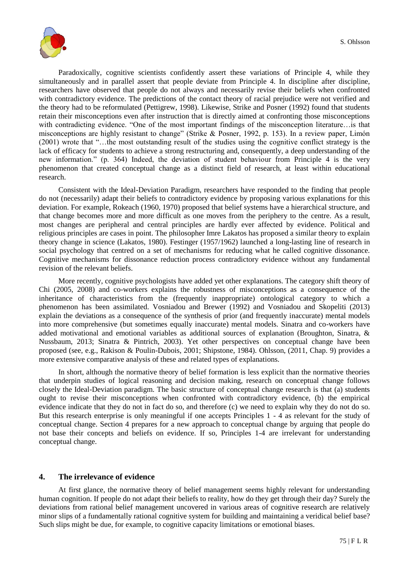

Paradoxically, cognitive scientists confidently assert these variations of Principle 4, while they simultaneously and in parallel assert that people deviate from Principle 4. In discipline after discipline, researchers have observed that people do not always and necessarily revise their beliefs when confronted with contradictory evidence. The predictions of the contact theory of racial prejudice were not verified and the theory had to be reformulated (Pettigrew, 1998). Likewise, Strike and Posner (1992) found that students retain their misconceptions even after instruction that is directly aimed at confronting those misconceptions with contradicting evidence. "One of the most important findings of the misconception literature…is that misconceptions are highly resistant to change" (Strike & Posner, 1992, p. 153). In a review paper, Limón (2001) wrote that "…the most outstanding result of the studies using the cognitive conflict strategy is the lack of efficacy for students to achieve a strong restructuring and, consequently, a deep understanding of the new information." (p. 364) Indeed, the deviation of student behaviour from Principle 4 is the very phenomenon that created conceptual change as a distinct field of research, at least within educational research.

Consistent with the Ideal-Deviation Paradigm, researchers have responded to the finding that people do not (necessarily) adapt their beliefs to contradictory evidence by proposing various explanations for this deviation. For example, Rokeach (1960, 1970) proposed that belief systems have a hierarchical structure, and that change becomes more and more difficult as one moves from the periphery to the centre. As a result, most changes are peripheral and central principles are hardly ever affected by evidence. Political and religious principles are cases in point. The philosopher Imre Lakatos has proposed a similar theory to explain theory change in science (Lakatos, 1980). Festinger (1957/1962) launched a long-lasting line of research in social psychology that centred on a set of mechanisms for reducing what he called cognitive dissonance. Cognitive mechanisms for dissonance reduction process contradictory evidence without any fundamental revision of the relevant beliefs.

More recently, cognitive psychologists have added yet other explanations. The category shift theory of Chi (2005, 2008) and co-workers explains the robustness of misconceptions as a consequence of the inheritance of characteristics from the (frequently inappropriate) ontological category to which a phenomenon has been assimilated. Vosniadou and Brewer (1992) and Vosniadou and Skopeliti (2013) explain the deviations as a consequence of the synthesis of prior (and frequently inaccurate) mental models into more comprehensive (but sometimes equally inaccurate) mental models. Sinatra and co-workers have added motivational and emotional variables as additional sources of explanation (Broughton, Sinatra, & Nussbaum, 2013; Sinatra & Pintrich, 2003). Yet other perspectives on conceptual change have been proposed (see, e.g., Rakison & Poulin-Dubois, 2001; Shipstone, 1984). Ohlsson, (2011, Chap. 9) provides a more extensive comparative analysis of these and related types of explanations.

In short, although the normative theory of belief formation is less explicit than the normative theories that underpin studies of logical reasoning and decision making, research on conceptual change follows closely the Ideal-Deviation paradigm. The basic structure of conceptual change research is that (a) students ought to revise their misconceptions when confronted with contradictory evidence, (b) the empirical evidence indicate that they do not in fact do so, and therefore (c) we need to explain why they do not do so. But this research enterprise is only meaningful if one accepts Principles 1 - 4 as relevant for the study of conceptual change. Section 4 prepares for a new approach to conceptual change by arguing that people do not base their concepts and beliefs on evidence. If so, Principles 1-4 are irrelevant for understanding conceptual change.

#### **4. The irrelevance of evidence**

At first glance, the normative theory of belief management seems highly relevant for understanding human cognition. If people do not adapt their beliefs to reality, how do they get through their day? Surely the deviations from rational belief management uncovered in various areas of cognitive research are relatively minor slips of a fundamentally rational cognitive system for building and maintaining a veridical belief base? Such slips might be due, for example, to cognitive capacity limitations or emotional biases.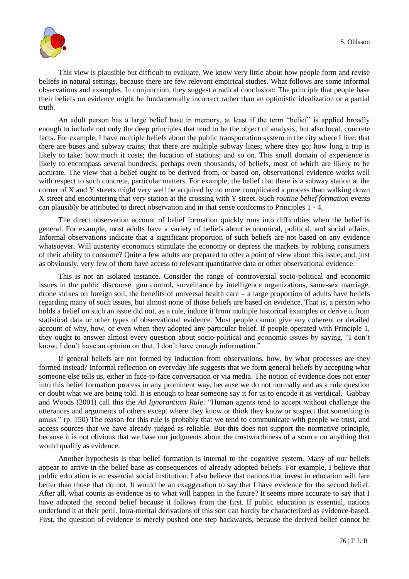

This view is plausible but difficult to evaluate. We know very little about how people form and revise beliefs in natural settings, because there are few relevant empirical studies. What follows are some informal observations and examples. In conjunction, they suggest a radical conclusion: The principle that people base their beliefs on evidence might be fundamentally incorrect rather than an optimistic idealization or a partial truth.

An adult person has a large belief base in memory, at least if the term "belief" is applied broadly enough to include not only the deep principles that tend to be the object of analysis, but also local, concrete facts. For example, I have multiple beliefs about the public transportation system in the city where I live: that there are buses and subway trains; that there are multiple subway lines; where they go; how long a trip is likely to take; how much it costs; the location of stations; and so on. This small domain of experience is likely to encompass several hundreds, perhaps even thousands, of beliefs, most of which are likely to be accurate. The view that a belief ought to be derived from, or based on, observational evidence works well with respect to such concrete, particular matters. For example, the belief that there is a subway station at the corner of X and Y streets might very well be acquired by no more complicated a process than walking down X street and encountering that very station at the crossing with Y street. Such *routine belief formation* events can plausibly be attributed to direct observation and in that sense conforms to Principles 1 - 4.

The direct observation account of belief formation quickly runs into difficulties when the belief is general. For example, most adults have a variety of beliefs about economical, political, and social affairs. Informal observations indicate that a significant proportion of such beliefs are not based on any evidence whatsoever. Will austerity economics stimulate the economy or depress the markets by robbing consumers of their ability to consume? Quite a few adults are prepared to offer a point of view about this issue, and, just as obviously, very few of them have access to relevant quantitative data or other observational evidence.

This is not an isolated instance. Consider the range of controversial socio-political and economic issues in the public discourse: gun control, surveillance by intelligence organizations, same-sex marriage, drone strikes on foreign soil, the benefits of universal health care – a large proportion of adults have beliefs regarding many of such issues, but almost none of those beliefs are based on evidence. That is, a person who holds a belief on such an issue did not, as a rule, induce it from multiple historical examples or derive it from statistical data or other types of observational evidence. Most people cannot give any coherent or detailed account of why, how, or even when they adopted any particular belief. If people operated with Principle 1, they ought to answer almost every question about socio-political and economic issues by saying, "I don"t know; I don't have an opinion on that; I don't have enough information."

If general beliefs are not formed by induction from observations, how, by what processes are they formed instead? Informal reflection on everyday life suggests that we form general beliefs by accepting what someone else tells us, either in face-to-face conversation or via media. The notion of evidence does not enter into this belief formation process in any prominent way, because we do not normally and as a rule question or doubt what we are being told. It is enough to hear someone say it for us to encode it as veridical. Gabbay and Woods (2001) call this the *Ad Ignorantiam Rule*: "Human agents tend to accept without challenge the utterances and arguments of others except where they know or think they know or suspect that something is amiss." (p. 150) The reason for this rule is probably that we tend to communicate with people we trust, and access sources that we have already judged as reliable. But this does not support the normative principle, because it is not obvious that we base our judgments about the trustworthiness of a source on anything that would qualify as evidence.

Another hypothesis is that belief formation is internal to the cognitive system. Many of our beliefs appear to arrive in the belief base as consequences of already adopted beliefs. For example, I believe that public education is an essential social institution. I also believe that nations that invest in education will fare better than those that do not. It would be an exaggeration to say that I have evidence for the second belief. After all, what counts as evidence as to what will happen in the future? It seems more accurate to say that I have adopted the second belief because it follows from the first. If public education is essential, nations underfund it at their peril. Intra-mental derivations of this sort can hardly be characterized as evidence-based. First, the question of evidence is merely pushed one step backwards, because the derived belief cannot be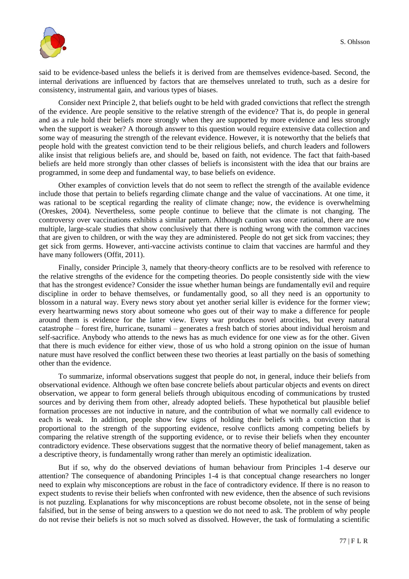

said to be evidence-based unless the beliefs it is derived from are themselves evidence-based. Second, the internal derivations are influenced by factors that are themselves unrelated to truth, such as a desire for consistency, instrumental gain, and various types of biases.

Consider next Principle 2, that beliefs ought to be held with graded convictions that reflect the strength of the evidence. Are people sensitive to the relative strength of the evidence? That is, do people in general and as a rule hold their beliefs more strongly when they are supported by more evidence and less strongly when the support is weaker? A thorough answer to this question would require extensive data collection and some way of measuring the strength of the relevant evidence. However, it is noteworthy that the beliefs that people hold with the greatest conviction tend to be their religious beliefs, and church leaders and followers alike insist that religious beliefs are, and should be, based on faith, not evidence. The fact that faith-based beliefs are held more strongly than other classes of beliefs is inconsistent with the idea that our brains are programmed, in some deep and fundamental way, to base beliefs on evidence.

Other examples of conviction levels that do not seem to reflect the strength of the available evidence include those that pertain to beliefs regarding climate change and the value of vaccinations. At one time, it was rational to be sceptical regarding the reality of climate change; now, the evidence is overwhelming (Oreskes, 2004). Nevertheless, some people continue to believe that the climate is not changing. The controversy over vaccinations exhibits a similar pattern. Although caution was once rational, there are now multiple, large-scale studies that show conclusively that there is nothing wrong with the common vaccines that are given to children, or with the way they are administered. People do not get sick from vaccines; they get sick from germs. However, anti-vaccine activists continue to claim that vaccines are harmful and they have many followers (Offit, 2011).

Finally, consider Principle 3, namely that theory-theory conflicts are to be resolved with reference to the relative strengths of the evidence for the competing theories. Do people consistently side with the view that has the strongest evidence? Consider the issue whether human beings are fundamentally evil and require discipline in order to behave themselves, or fundamentally good, so all they need is an opportunity to blossom in a natural way. Every news story about yet another serial killer is evidence for the former view; every heartwarming news story about someone who goes out of their way to make a difference for people around them is evidence for the latter view. Every war produces novel atrocities, but every natural catastrophe – forest fire, hurricane, tsunami – generates a fresh batch of stories about individual heroism and self-sacrifice. Anybody who attends to the news has as much evidence for one view as for the other. Given that there is much evidence for either view, those of us who hold a strong opinion on the issue of human nature must have resolved the conflict between these two theories at least partially on the basis of something other than the evidence.

To summarize, informal observations suggest that people do not, in general, induce their beliefs from observational evidence. Although we often base concrete beliefs about particular objects and events on direct observation, we appear to form general beliefs through ubiquitous encoding of communications by trusted sources and by deriving them from other, already adopted beliefs. These hypothetical but plausible belief formation processes are not inductive in nature, and the contribution of what we normally call evidence to each is weak. In addition, people show few signs of holding their beliefs with a conviction that is proportional to the strength of the supporting evidence, resolve conflicts among competing beliefs by comparing the relative strength of the supporting evidence, or to revise their beliefs when they encounter contradictory evidence. These observations suggest that the normative theory of belief management, taken as a descriptive theory, is fundamentally wrong rather than merely an optimistic idealization.

But if so, why do the observed deviations of human behaviour from Principles 1-4 deserve our attention? The consequence of abandoning Principles 1-4 is that conceptual change researchers no longer need to explain why misconceptions are robust in the face of contradictory evidence. If there is no reason to expect students to revise their beliefs when confronted with new evidence, then the absence of such revisions is not puzzling. Explanations for why misconceptions are robust become obsolete, not in the sense of being falsified, but in the sense of being answers to a question we do not need to ask. The problem of why people do not revise their beliefs is not so much solved as dissolved. However, the task of formulating a scientific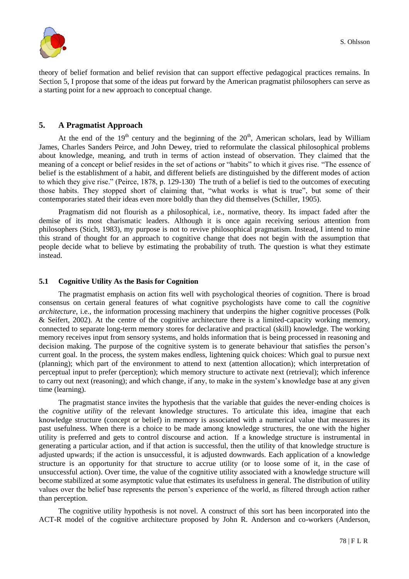

theory of belief formation and belief revision that can support effective pedagogical practices remains. In Section 5, I propose that some of the ideas put forward by the American pragmatist philosophers can serve as a starting point for a new approach to conceptual change.

# **5. A Pragmatist Approach**

At the end of the  $19<sup>th</sup>$  century and the beginning of the  $20<sup>th</sup>$ , American scholars, lead by William James, Charles Sanders Peirce, and John Dewey, tried to reformulate the classical philosophical problems about knowledge, meaning, and truth in terms of action instead of observation. They claimed that the meaning of a concept or belief resides in the set of actions or "habits" to which it gives rise. "The essence of belief is the establishment of a habit, and different beliefs are distinguished by the different modes of action to which they give rise." (Peirce, 1878, p. 129-130) The truth of a belief is tied to the outcomes of executing those habits. They stopped short of claiming that, "what works is what is true", but some of their contemporaries stated their ideas even more boldly than they did themselves (Schiller, 1905).

Pragmatism did not flourish as a philosophical, i.e., normative, theory. Its impact faded after the demise of its most charismatic leaders. Although it is once again receiving serious attention from philosophers (Stich, 1983), my purpose is not to revive philosophical pragmatism. Instead, I intend to mine this strand of thought for an approach to cognitive change that does not begin with the assumption that people decide what to believe by estimating the probability of truth. The question is what they estimate instead.

#### **5.1 Cognitive Utility As the Basis for Cognition**

The pragmatist emphasis on action fits well with psychological theories of cognition. There is broad consensus on certain general features of what cognitive psychologists have come to call the *cognitive architecture*, i.e., the information processing machinery that underpins the higher cognitive processes (Polk & Seifert, 2002). At the centre of the cognitive architecture there is a limited-capacity working memory, connected to separate long-term memory stores for declarative and practical (skill) knowledge. The working memory receives input from sensory systems, and holds information that is being processed in reasoning and decision making. The purpose of the cognitive system is to generate behaviour that satisfies the person's current goal. In the process, the system makes endless, lightening quick choices: Which goal to pursue next (planning); which part of the environment to attend to next (attention allocation); which interpretation of perceptual input to prefer (perception); which memory structure to activate next (retrieval); which inference to carry out next (reasoning); and which change, if any, to make in the system"s knowledge base at any given time (learning).

The pragmatist stance invites the hypothesis that the variable that guides the never-ending choices is the *cognitive utility* of the relevant knowledge structures. To articulate this idea, imagine that each knowledge structure (concept or belief) in memory is associated with a numerical value that measures its past usefulness. When there is a choice to be made among knowledge structures, the one with the higher utility is preferred and gets to control discourse and action. If a knowledge structure is instrumental in generating a particular action, and if that action is successful, then the utility of that knowledge structure is adjusted upwards; if the action is unsuccessful, it is adjusted downwards. Each application of a knowledge structure is an opportunity for that structure to accrue utility (or to loose some of it, in the case of unsuccessful action). Over time, the value of the cognitive utility associated with a knowledge structure will become stabilized at some asymptotic value that estimates its usefulness in general. The distribution of utility values over the belief base represents the person"s experience of the world, as filtered through action rather than perception.

The cognitive utility hypothesis is not novel. A construct of this sort has been incorporated into the ACT-R model of the cognitive architecture proposed by John R. Anderson and co-workers (Anderson,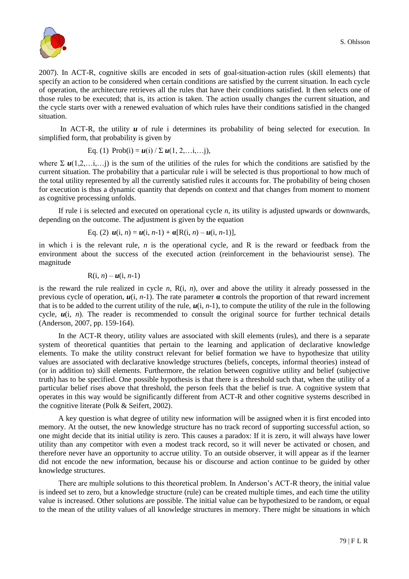

2007). In ACT-R, cognitive skills are encoded in sets of goal-situation-action rules (skill elements) that specify an action to be considered when certain conditions are satisfied by the current situation. In each cycle of operation, the architecture retrieves all the rules that have their conditions satisfied. It then selects one of those rules to be executed; that is, its action is taken. The action usually changes the current situation, and the cycle starts over with a renewed evaluation of which rules have their conditions satisfied in the changed situation.

In ACT-R, the utility *u* of rule i determines its probability of being selected for execution. In simplified form, that probability is given by

Eq. (1) Prob(i) = 
$$
u(i) / \sum u(1, 2, \ldots, i, \ldots)
$$

where  $\Sigma$   $u(1,2,...,i)$  is the sum of the utilities of the rules for which the conditions are satisfied by the current situation. The probability that a particular rule i will be selected is thus proportional to how much of the total utility represented by all the currently satisfied rules it accounts for. The probability of being chosen for execution is thus a dynamic quantity that depends on context and that changes from moment to moment as cognitive processing unfolds.

If rule i is selected and executed on operational cycle *n*, its utility is adjusted upwards or downwards, depending on the outcome. The adjustment is given by the equation

Eq. (2) 
$$
u(i, n) = u(i, n-1) + \alpha[R(i, n) - u(i, n-1)],
$$

in which i is the relevant rule, *n* is the operational cycle, and R is the reward or feedback from the environment about the success of the executed action (reinforcement in the behaviourist sense). The magnitude

$$
R(i, n) - u(i, n-1)
$$

is the reward the rule realized in cycle *n*, R(i, *n*), over and above the utility it already possessed in the previous cycle of operation,  $u(i, n-1)$ . The rate parameter  $\alpha$  controls the proportion of that reward increment that is to be added to the current utility of the rule,  $u(i, n-1)$ , to compute the utility of the rule in the following cycle,  $u(i, n)$ . The reader is recommended to consult the original source for further technical details (Anderson, 2007, pp. 159-164).

In the ACT-R theory, utility values are associated with skill elements (rules), and there is a separate system of theoretical quantities that pertain to the learning and application of declarative knowledge elements. To make the utility construct relevant for belief formation we have to hypothesize that utility values are associated with declarative knowledge structures (beliefs, concepts, informal theories) instead of (or in addition to) skill elements. Furthermore, the relation between cognitive utility and belief (subjective truth) has to be specified. One possible hypothesis is that there is a threshold such that, when the utility of a particular belief rises above that threshold, the person feels that the belief is true. A cognitive system that operates in this way would be significantly different from ACT-R and other cognitive systems described in the cognitive literate (Polk & Seifert, 2002).

A key question is what degree of utility new information will be assigned when it is first encoded into memory. At the outset, the new knowledge structure has no track record of supporting successful action, so one might decide that its initial utility is zero. This causes a paradox: If it is zero, it will always have lower utility than any competitor with even a modest track record, so it will never be activated or chosen, and therefore never have an opportunity to accrue utility. To an outside observer, it will appear as if the learner did not encode the new information, because his or discourse and action continue to be guided by other knowledge structures.

There are multiple solutions to this theoretical problem. In Anderson"s ACT-R theory, the initial value is indeed set to zero, but a knowledge structure (rule) can be created multiple times, and each time the utility value is increased. Other solutions are possible. The initial value can be hypothesized to be random, or equal to the mean of the utility values of all knowledge structures in memory. There might be situations in which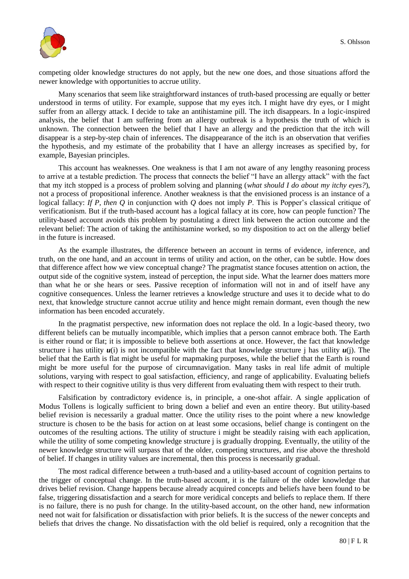

competing older knowledge structures do not apply, but the new one does, and those situations afford the newer knowledge with opportunities to accrue utility.

Many scenarios that seem like straightforward instances of truth-based processing are equally or better understood in terms of utility. For example, suppose that my eyes itch. I might have dry eyes, or I might suffer from an allergy attack. I decide to take an antihistamine pill. The itch disappears. In a logic-inspired analysis, the belief that I am suffering from an allergy outbreak is a hypothesis the truth of which is unknown. The connection between the belief that I have an allergy and the prediction that the itch will disappear is a step-by-step chain of inferences. The disappearance of the itch is an observation that verifies the hypothesis, and my estimate of the probability that I have an allergy increases as specified by, for example, Bayesian principles.

This account has weaknesses. One weakness is that I am not aware of any lengthy reasoning process to arrive at a testable prediction. The process that connects the belief "I have an allergy attack" with the fact that my itch stopped is a process of problem solving and planning (*what should I do about my itchy eyes?*), not a process of propositional inference. Another weakness is that the envisioned process is an instance of a logical fallacy: *If P, then Q* in conjunction with *Q* does not imply *P*. This is Popper"s classical critique of verificationism. But if the truth-based account has a logical fallacy at its core, how can people function? The utility-based account avoids this problem by postulating a direct link between the action outcome and the relevant belief: The action of taking the antihistamine worked, so my disposition to act on the allergy belief in the future is increased.

As the example illustrates, the difference between an account in terms of evidence, inference, and truth, on the one hand, and an account in terms of utility and action, on the other, can be subtle. How does that difference affect how we view conceptual change? The pragmatist stance focuses attention on action, the output side of the cognitive system, instead of perception, the input side. What the learner does matters more than what he or she hears or sees. Passive reception of information will not in and of itself have any cognitive consequences. Unless the learner retrieves a knowledge structure and uses it to decide what to do next, that knowledge structure cannot accrue utility and hence might remain dormant, even though the new information has been encoded accurately.

In the pragmatist perspective, new information does not replace the old. In a logic-based theory, two different beliefs can be mutually incompatible, which implies that a person cannot embrace both. The Earth is either round or flat; it is impossible to believe both assertions at once. However, the fact that knowledge structure i has utility  $u(i)$  is not incompatible with the fact that knowledge structure j has utility  $u(i)$ . The belief that the Earth is flat might be useful for mapmaking purposes, while the belief that the Earth is round might be more useful for the purpose of circumnavigation. Many tasks in real life admit of multiple solutions, varying with respect to goal satisfaction, efficiency, and range of applicability. Evaluating beliefs with respect to their cognitive utility is thus very different from evaluating them with respect to their truth.

Falsification by contradictory evidence is, in principle, a one-shot affair. A single application of Modus Tollens is logically sufficient to bring down a belief and even an entire theory. But utility-based belief revision is necessarily a gradual matter. Once the utility rises to the point where a new knowledge structure is chosen to be the basis for action on at least some occasions, belief change is contingent on the outcomes of the resulting actions. The utility of structure i might be steadily raising with each application, while the utility of some competing knowledge structure j is gradually dropping. Eventually, the utility of the newer knowledge structure will surpass that of the older, competing structures, and rise above the threshold of belief. If changes in utility values are incremental, then this process is necessarily gradual.

The most radical difference between a truth-based and a utility-based account of cognition pertains to the trigger of conceptual change. In the truth-based account, it is the failure of the older knowledge that drives belief revision. Change happens because already acquired concepts and beliefs have been found to be false, triggering dissatisfaction and a search for more veridical concepts and beliefs to replace them. If there is no failure, there is no push for change. In the utility-based account, on the other hand, new information need not wait for falsification or dissatisfaction with prior beliefs. It is the success of the newer concepts and beliefs that drives the change. No dissatisfaction with the old belief is required, only a recognition that the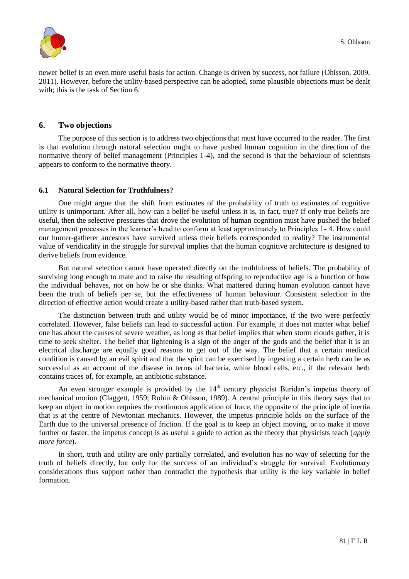

newer belief is an even more useful basis for action. Change is driven by success, not failure (Ohlsson, 2009, 2011). However, before the utility-based perspective can be adopted, some plausible objections must be dealt with; this is the task of Section 6.

## **6. Two objections**

The purpose of this section is to address two objections that must have occurred to the reader. The first is that evolution through natural selection ought to have pushed human cognition in the direction of the normative theory of belief management (Principles 1-4), and the second is that the behaviour of scientists appears to conform to the normative theory.

## **6.1 Natural Selection for Truthfulness?**

One might argue that the shift from estimates of the probability of truth to estimates of cognitive utility is unimportant. After all, how can a belief be useful unless it is, in fact, true? If only true beliefs are useful, then the selective pressures that drove the evolution of human cognition must have pushed the belief management processes in the learner's head to conform at least approximately to Principles 1-4. How could our hunter-gatherer ancestors have survived unless their beliefs corresponded to reality? The instrumental value of veridicality in the struggle for survival implies that the human cognitive architecture is designed to derive beliefs from evidence.

But natural selection cannot have operated directly on the truthfulness of beliefs. The probability of surviving long enough to mate and to raise the resulting offspring to reproductive age is a function of how the individual behaves, not on how he or she thinks. What mattered during human evolution cannot have been the truth of beliefs per se, but the effectiveness of human behaviour. Consistent selection in the direction of effective action would create a utility-based rather than truth-based system.

The distinction between truth and utility would be of minor importance, if the two were perfectly correlated. However, false beliefs can lead to successful action. For example, it does not matter what belief one has about the causes of severe weather, as long as that belief implies that when storm clouds gather, it is time to seek shelter. The belief that lightening is a sign of the anger of the gods and the belief that it is an electrical discharge are equally good reasons to get out of the way. The belief that a certain medical condition is caused by an evil spirit and that the spirit can be exercised by ingesting a certain herb can be as successful as an account of the disease in terms of bacteria, white blood cells, etc., if the relevant herb contains traces of, for example, an antibiotic substance.

An even stronger example is provided by the  $14<sup>th</sup>$  century physicist Buridan's impetus theory of mechanical motion (Claggett, 1959; Robin & Ohlsson, 1989). A central principle in this theory says that to keep an object in motion requires the continuous application of force, the opposite of the principle of inertia that is at the centre of Newtonian mechanics. However, the impetus principle holds on the surface of the Earth due to the universal presence of friction. If the goal is to keep an object moving, or to make it move further or faster, the impetus concept is as useful a guide to action as the theory that physicists teach (*apply more force*).

In short, truth and utility are only partially correlated, and evolution has no way of selecting for the truth of beliefs directly, but only for the success of an individual"s struggle for survival. Evolutionary considerations thus support rather than contradict the hypothesis that utility is the key variable in belief formation.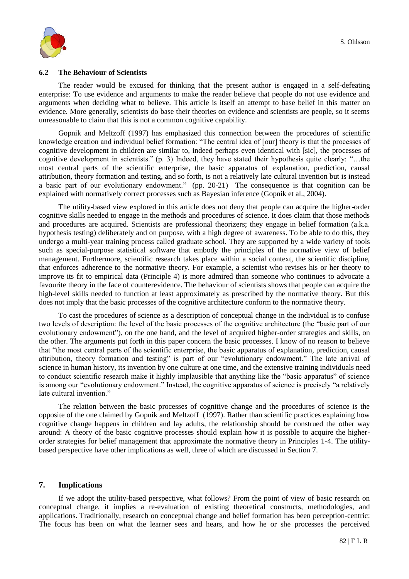

#### **6.2 The Behaviour of Scientists**

The reader would be excused for thinking that the present author is engaged in a self-defeating enterprise: To use evidence and arguments to make the reader believe that people do not use evidence and arguments when deciding what to believe. This article is itself an attempt to base belief in this matter on evidence. More generally, scientists do base their theories on evidence and scientists are people, so it seems unreasonable to claim that this is not a common cognitive capability.

Gopnik and Meltzoff (1997) has emphasized this connection between the procedures of scientific knowledge creation and individual belief formation: "The central idea of [our] theory is that the processes of cognitive development in children are similar to, indeed perhaps even identical with [sic], the processes of cognitive development in scientists." (p. 3) Indeed, they have stated their hypothesis quite clearly: "…the most central parts of the scientific enterprise, the basic apparatus of explanation, prediction, causal attribution, theory formation and testing, and so forth, is not a relatively late cultural invention but is instead a basic part of our evolutionary endowment." (pp. 20-21) The consequence is that cognition can be explained with normatively correct processes such as Bayesian inference (Gopnik et al., 2004).

The utility-based view explored in this article does not deny that people can acquire the higher-order cognitive skills needed to engage in the methods and procedures of science. It does claim that those methods and procedures are acquired. Scientists are professional theorizers; they engage in belief formation (a.k.a. hypothesis testing) deliberately and on purpose, with a high degree of awareness. To be able to do this, they undergo a multi-year training process called graduate school. They are supported by a wide variety of tools such as special-purpose statistical software that embody the principles of the normative view of belief management. Furthermore, scientific research takes place within a social context, the scientific discipline, that enforces adherence to the normative theory. For example, a scientist who revises his or her theory to improve its fit to empirical data (Principle 4) is more admired than someone who continues to advocate a favourite theory in the face of counterevidence. The behaviour of scientists shows that people can acquire the high-level skills needed to function at least approximately as prescribed by the normative theory. But this does not imply that the basic processes of the cognitive architecture conform to the normative theory.

To cast the procedures of science as a description of conceptual change in the individual is to confuse two levels of description: the level of the basic processes of the cognitive architecture (the "basic part of our evolutionary endowment"), on the one hand, and the level of acquired higher-order strategies and skills, on the other. The arguments put forth in this paper concern the basic processes. I know of no reason to believe that "the most central parts of the scientific enterprise, the basic apparatus of explanation, prediction, causal attribution, theory formation and testing" is part of our "evolutionary endowment." The late arrival of science in human history, its invention by one culture at one time, and the extensive training individuals need to conduct scientific research make it highly implausible that anything like the "basic apparatus" of science is among our "evolutionary endowment." Instead, the cognitive apparatus of science is precisely "a relatively late cultural invention."

The relation between the basic processes of cognitive change and the procedures of science is the opposite of the one claimed by Gopnik and Meltzoff (1997). Rather than scientific practices explaining how cognitive change happens in children and lay adults, the relationship should be construed the other way around: A theory of the basic cognitive processes should explain how it is possible to acquire the higherorder strategies for belief management that approximate the normative theory in Principles 1-4. The utilitybased perspective have other implications as well, three of which are discussed in Section 7.

#### **7. Implications**

If we adopt the utility-based perspective, what follows? From the point of view of basic research on conceptual change, it implies a re-evaluation of existing theoretical constructs, methodologies, and applications. Traditionally, research on conceptual change and belief formation has been perception-centric: The focus has been on what the learner sees and hears, and how he or she processes the perceived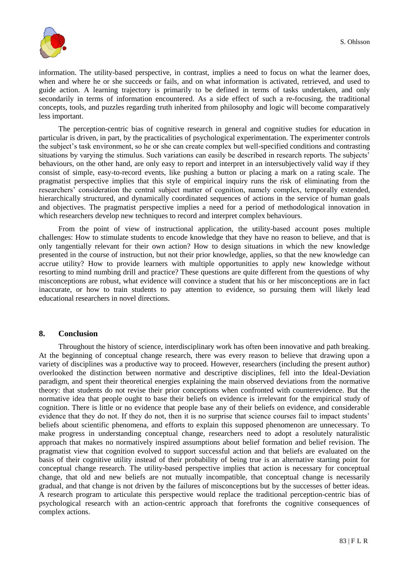

information. The utility-based perspective, in contrast, implies a need to focus on what the learner does, when and where he or she succeeds or fails, and on what information is activated, retrieved, and used to guide action. A learning trajectory is primarily to be defined in terms of tasks undertaken, and only secondarily in terms of information encountered. As a side effect of such a re-focusing, the traditional concepts, tools, and puzzles regarding truth inherited from philosophy and logic will become comparatively less important.

The perception-centric bias of cognitive research in general and cognitive studies for education in particular is driven, in part, by the practicalities of psychological experimentation. The experimenter controls the subject"s task environment, so he or she can create complex but well-specified conditions and contrasting situations by varying the stimulus. Such variations can easily be described in research reports. The subjects" behaviours, on the other hand, are only easy to report and interpret in an intersubjectively valid way if they consist of simple, easy-to-record events, like pushing a button or placing a mark on a rating scale. The pragmatist perspective implies that this style of empirical inquiry runs the risk of eliminating from the researchers" consideration the central subject matter of cognition, namely complex, temporally extended, hierarchically structured, and dynamically coordinated sequences of actions in the service of human goals and objectives. The pragmatist perspective implies a need for a period of methodological innovation in which researchers develop new techniques to record and interpret complex behaviours.

From the point of view of instructional application, the utility-based account poses multiple challenges: How to stimulate students to encode knowledge that they have no reason to believe, and that is only tangentially relevant for their own action? How to design situations in which the new knowledge presented in the course of instruction, but not their prior knowledge, applies, so that the new knowledge can accrue utility? How to provide learners with multiple opportunities to apply new knowledge without resorting to mind numbing drill and practice? These questions are quite different from the questions of why misconceptions are robust, what evidence will convince a student that his or her misconceptions are in fact inaccurate, or how to train students to pay attention to evidence, so pursuing them will likely lead educational researchers in novel directions.

## **8. Conclusion**

Throughout the history of science, interdisciplinary work has often been innovative and path breaking. At the beginning of conceptual change research, there was every reason to believe that drawing upon a variety of disciplines was a productive way to proceed. However, researchers (including the present author) overlooked the distinction between normative and descriptive disciplines, fell into the Ideal-Deviation paradigm, and spent their theoretical energies explaining the main observed deviations from the normative theory: that students do not revise their prior conceptions when confronted with counterevidence. But the normative idea that people ought to base their beliefs on evidence is irrelevant for the empirical study of cognition. There is little or no evidence that people base any of their beliefs on evidence, and considerable evidence that they do not. If they do not, then it is no surprise that science courses fail to impact students' beliefs about scientific phenomena, and efforts to explain this supposed phenomenon are unnecessary. To make progress in understanding conceptual change, researchers need to adopt a resolutely naturalistic approach that makes no normatively inspired assumptions about belief formation and belief revision. The pragmatist view that cognition evolved to support successful action and that beliefs are evaluated on the basis of their cognitive utility instead of their probability of being true is an alternative starting point for conceptual change research. The utility-based perspective implies that action is necessary for conceptual change, that old and new beliefs are not mutually incompatible, that conceptual change is necessarily gradual, and that change is not driven by the failures of misconceptions but by the successes of better ideas. A research program to articulate this perspective would replace the traditional perception-centric bias of psychological research with an action-centric approach that forefronts the cognitive consequences of complex actions.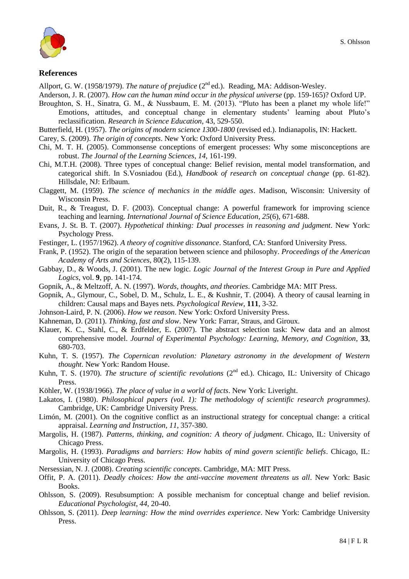



#### **References**

Allport, G. W. (1958/1979). *The nature of prejudice* (2<sup>nd</sup> ed.). Reading, MA: Addison-Wesley.

Anderson, J. R. (2007). *How can the human mind occur in the physical universe* (pp. 159-165)? Oxford UP.

Broughton, S. H., Sinatra, G. M., & Nussbaum, E. M. (2013). "Pluto has been a planet my whole life!" Emotions, attitudes, and conceptual change in elementary students' learning about Pluto's reclassification. *Research in Science Education*, 43, 529-550.

Butterfield, H. (1957). *The origins of modern science 1300-1800* (revised ed.). Indianapolis, IN: Hackett.

- Carey, S. (2009). *The origin of concepts*. New York: Oxford University Press.
- Chi, M. T. H. (2005). Commonsense conceptions of emergent processes: Why some misconceptions are robust. *The Journal of the Learning Sciences*, *14*, 161-199.
- Chi, M.T.H. (2008). Three types of conceptual change: Belief revision, mental model transformation, and categorical shift. In S.Vosniadou (Ed.), *Handbook of research on conceptual change* (pp. 61-82). Hillsdale, NJ: Erlbaum.
- Claggett, M. (1959). *The science of mechanics in the middle ages*. Madison, Wisconsin: University of Wisconsin Press.
- Duit, R., & Treagust, D. F. (2003). Conceptual change: A powerful framework for improving science teaching and learning. *International Journal of Science Education*, *25*(6), 671-688.
- Evans, J. St. B. T. (2007). *Hypothetical thinking: Dual processes in reasoning and judgment*. New York: Psychology Press.
- Festinger, L. (1957/1962). *A theory of cognitive dissonance*. Stanford, CA: Stanford University Press.
- Frank, P. (1952). The origin of the separation between science and philosophy. *Proceedings of the American Academy of Arts and Sciences*, 80(2), 115-139.
- Gabbay, D., & Woods, J. (2001). The new logic. *Logic Journal of the Interest Group in Pure and Applied Logics*, vol. **9**, pp. 141-174.
- Gopnik, A., & Meltzoff, A. N. (1997). *Words, thoughts, and theories*. Cambridge MA: MIT Press.
- Gopnik, A., Glymour, C., Sobel, D. M., Schulz, L. E., & Kushnir, T. (2004). A theory of causal learning in children: Causal maps and Bayes nets. *Psychological Review*, **111**, 3-32.
- Johnson-Laird, P. N. (2006). *How we reason*. New York: Oxford University Press.
- Kahneman, D. (2011). *Thinking, fast and slow*. New York: Farrar, Straus, and Giroux.
- Klauer, K. C., Stahl, C., & Erdfelder, E. (2007). The abstract selection task: New data and an almost comprehensive model. *Journal of Experimental Psychology: Learning, Memory, and Cognition*, **33**, 680-703.
- Kuhn, T. S. (1957). *The Copernican revolution: Planetary astronomy in the development of Western thought*. New York: Random House.
- Kuhn, T. S. (1970). *The structure of scientific revolutions* (2<sup>nd</sup> ed.). Chicago, IL: University of Chicago Press.
- Köhler, W. (1938/1966). *The place of value in a world of facts*. New York: Liveright.
- Lakatos, I. (1980). *Philosophical papers (vol. 1): The methodology of scientific research programmes)*. Cambridge, UK: Cambridge University Press.
- Limón, M. (2001). On the cognitive conflict as an instructional strategy for conceptual change: a critical appraisal. *Learning and Instruction*, *11*, 357-380.
- Margolis, H. (1987). *Patterns, thinking, and cognition: A theory of judgment*. Chicago, IL: University of Chicago Press.
- Margolis, H. (1993). *Paradigms and barriers: How habits of mind govern scientific beliefs*. Chicago, IL: University of Chicago Press.
- Nersessian, N. J. (2008). *Creating scientific concepts*. Cambridge, MA: MIT Press.
- Offit, P. A. (2011). *Deadly choices: How the anti-vaccine movement threatens us all*. New York: Basic Books.
- Ohlsson, S. (2009). Resubsumption: A possible mechanism for conceptual change and belief revision. *Educational Psychologist*, *44*, 20-40.
- Ohlsson, S. (2011). *Deep learning: How the mind overrides experience*. New York: Cambridge University Press.